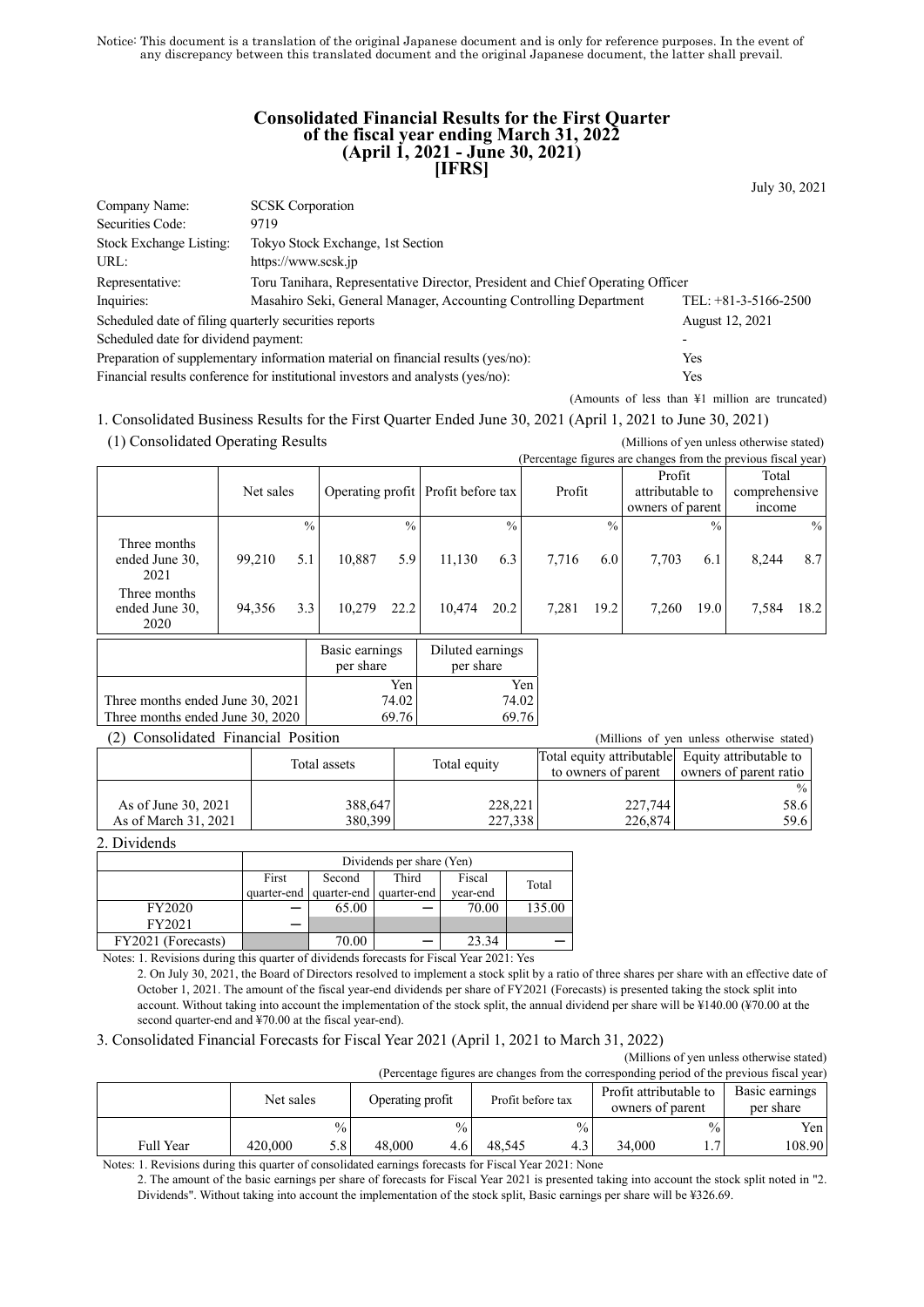Notice: This document is a translation of the original Japanese document and is only for reference purposes. In the event of any discrepancy between this translated document and the original Japanese document, the latter shall prevail.

### **Consolidated Financial Results for the First Quarter of the fiscal year ending March 31, 2022 (April 1, 2021 - June 30, 2021) [IFRS]**

July 30, 2021

| Company Name:                                         | <b>SCSK</b> Corporation                                                                        |                        |  |  |  |  |
|-------------------------------------------------------|------------------------------------------------------------------------------------------------|------------------------|--|--|--|--|
| Securities Code:                                      | 9719                                                                                           |                        |  |  |  |  |
| Stock Exchange Listing:                               | Tokyo Stock Exchange, 1st Section                                                              |                        |  |  |  |  |
| URL:                                                  | https://www.scsk.jp                                                                            |                        |  |  |  |  |
| Representative:                                       | Toru Tanihara, Representative Director, President and Chief Operating Officer                  |                        |  |  |  |  |
| Inquiries:                                            | Masahiro Seki, General Manager, Accounting Controlling Department                              | TEL: $+81-3-5166-2500$ |  |  |  |  |
| Scheduled date of filing quarterly securities reports |                                                                                                | August 12, 2021        |  |  |  |  |
| Scheduled date for dividend payment:                  |                                                                                                |                        |  |  |  |  |
|                                                       | Preparation of supplementary information material on financial results (yes/no):<br><b>Yes</b> |                        |  |  |  |  |
|                                                       | Financial results conference for institutional investors and analysts (yes/no):<br>Yes         |                        |  |  |  |  |

(Amounts of less than ¥1 million are truncated)

1. Consolidated Business Results for the First Quarter Ended June 30, 2021 (April 1, 2021 to June 30, 2021) (1) Consolidated Operating Results (Millions of yen unless otherwise stated)

|                                                        |           |               |                                       |               |                               |               |  | (Percentage figures are changes from the previous fiscal year) |               |                                  |          |       |               |
|--------------------------------------------------------|-----------|---------------|---------------------------------------|---------------|-------------------------------|---------------|--|----------------------------------------------------------------|---------------|----------------------------------|----------|-------|---------------|
|                                                        | Net sales |               | Operating profit<br>Profit before tax |               |                               | Profit        |  | Profit<br>attributable to<br>owners of parent                  |               | Total<br>comprehensive<br>income |          |       |               |
|                                                        |           | $\frac{0}{0}$ |                                       | $\frac{0}{0}$ |                               | $\frac{0}{0}$ |  |                                                                | $\frac{0}{0}$ |                                  | $^{0/2}$ |       | $\frac{0}{0}$ |
| Three months<br>ended June 30,<br>2021<br>Three months | 99,210    | 5.1           | 10.887                                | 5.9           | 11,130                        | 6.3           |  | 7,716                                                          | 6.0           | 7,703                            | 6.1      | 8,244 | 8.7           |
| ended June 30,<br>2020                                 | 94,356    | 3.3           | 10,279                                | 22.2          | 10.474                        | 20.2          |  | 7,281                                                          | 19.2          | 7.260                            | 19.0     | 7,584 | 18.2          |
|                                                        |           |               | Basic earnings<br>per share           |               | Diluted earnings<br>per share |               |  |                                                                |               |                                  |          |       |               |
|                                                        |           |               | Yen                                   |               | Yen                           |               |  |                                                                |               |                                  |          |       |               |
| Three months ended June 30, 2021                       |           |               | 74.02<br>74.02                        |               |                               |               |  |                                                                |               |                                  |          |       |               |
| Three months ended June 30, 2020                       |           |               |                                       | 69.76         |                               | 69.76         |  |                                                                |               |                                  |          |       |               |

(2) Consolidated Financial Position (Millions of yen unless otherwise stated)

|                      | Total assets |              | Total equity attributable Equity attributable to |                        |  |  |
|----------------------|--------------|--------------|--------------------------------------------------|------------------------|--|--|
|                      |              | Total equity | to owners of parent                              | owners of parent ratio |  |  |
|                      |              |              |                                                  | $\%$                   |  |  |
| As of June 30, 2021  | 388,647      | 228,221      | 227,744                                          | 58.6                   |  |  |
| As of March 31, 2021 | 380,399      | 227,338      | 226,874                                          | 59.6                   |  |  |

2. Dividends

|                    | Dividends per share (Yen) |                                     |       |          |        |  |  |
|--------------------|---------------------------|-------------------------------------|-------|----------|--------|--|--|
|                    | First                     | Second                              | Third | Fiscal   | Total  |  |  |
|                    |                           | quarter-end quarter-end quarter-end |       | vear-end |        |  |  |
| FY2020             |                           | 65.00                               |       | 70.00    | 135.00 |  |  |
| FY2021             |                           |                                     |       |          |        |  |  |
| FY2021 (Forecasts) |                           | 70.00                               |       | 23.34    |        |  |  |

Notes: 1. Revisions during this quarter of dividends forecasts for Fiscal Year 2021: Yes

2. On July 30, 2021, the Board of Directors resolved to implement a stock split by a ratio of three shares per share with an effective date of October 1, 2021. The amount of the fiscal year-end dividends per share of FY2021 (Forecasts) is presented taking the stock split into account. Without taking into account the implementation of the stock split, the annual dividend per share will be ¥140.00 (¥70.00 at the second quarter-end and ¥70.00 at the fiscal year-end).

#### 3. Consolidated Financial Forecasts for Fiscal Year 2021 (April 1, 2021 to March 31, 2022)

(Millions of yen unless otherwise stated) (Percentage figures are changes from the corresponding period of the previous fiscal year)

| (Fercentage figures are changes from the corresponding period of the previous fiscal year) |         |               |                  |               |                   |      |                        |               |           |                |
|--------------------------------------------------------------------------------------------|---------|---------------|------------------|---------------|-------------------|------|------------------------|---------------|-----------|----------------|
| Net sales                                                                                  |         |               |                  |               | Profit before tax |      | Profit attributable to |               |           | Basic earnings |
|                                                                                            |         |               | Operating profit |               |                   |      | owners of parent       |               | per share |                |
|                                                                                            |         | $\frac{0}{2}$ |                  | $^{0}/_{0}$ . |                   | $\%$ |                        | $\frac{0}{0}$ | Yen l     |                |
| <b>Full Year</b>                                                                           | 420,000 | 5.8           | 48.000           |               | 48.545            | 4.3  | 34.000                 |               | 108.90    |                |
|                                                                                            |         |               |                  |               |                   |      |                        |               |           |                |

Notes: 1. Revisions during this quarter of consolidated earnings forecasts for Fiscal Year 2021: None

2. The amount of the basic earnings per share of forecasts for Fiscal Year 2021 is presented taking into account the stock split noted in "2. Dividends". Without taking into account the implementation of the stock split, Basic earnings per share will be ¥326.69.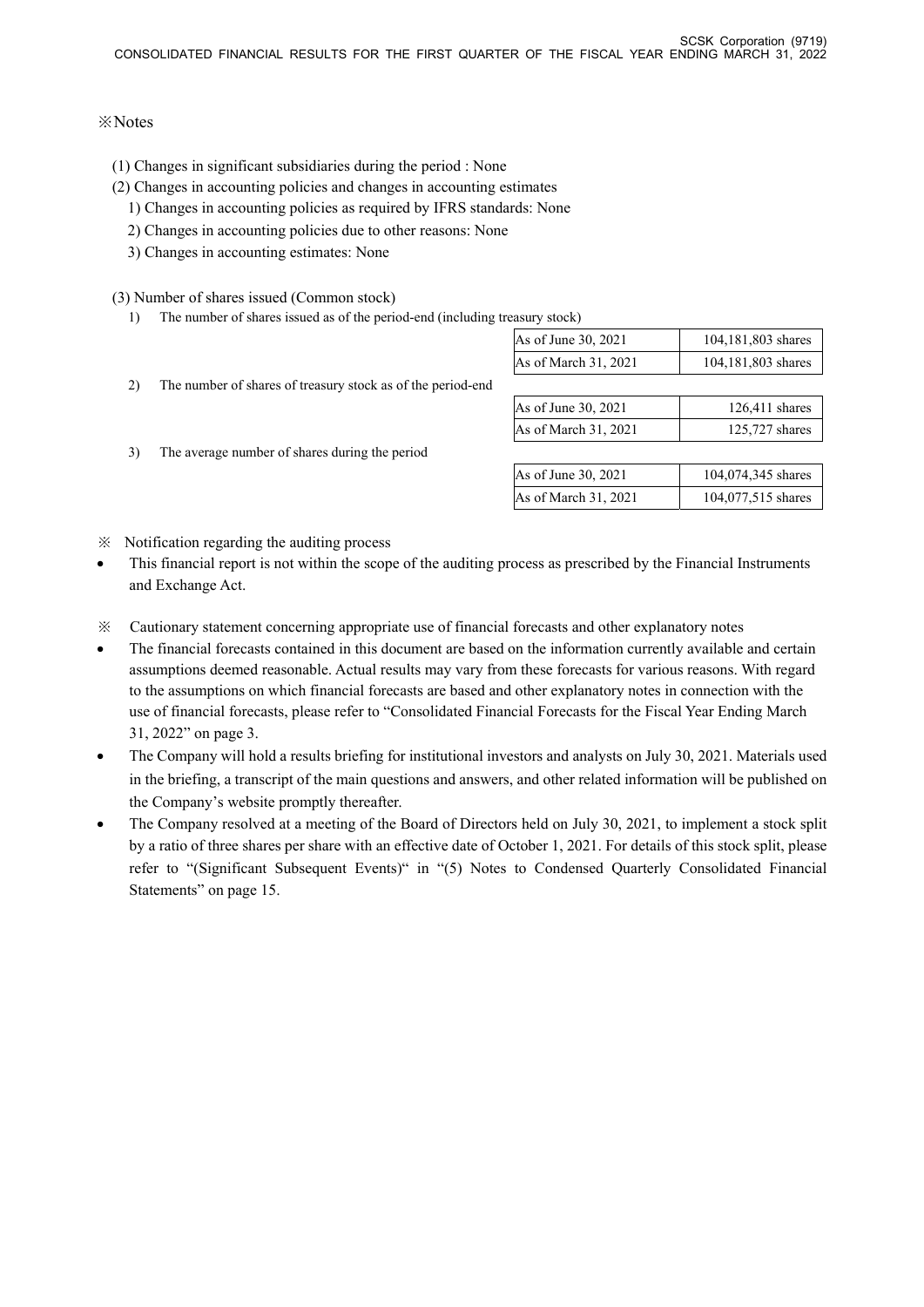# ※Notes

- (1) Changes in significant subsidiaries during the period : None
- (2) Changes in accounting policies and changes in accounting estimates
	- 1) Changes in accounting policies as required by IFRS standards: None
	- 2) Changes in accounting policies due to other reasons: None
	- 3) Changes in accounting estimates: None

(3) Number of shares issued (Common stock)

1) The number of shares issued as of the period-end (including treasury stock)

|    |                                                             | As of June 30, 2021  | 104,181,803 shares |
|----|-------------------------------------------------------------|----------------------|--------------------|
|    |                                                             | As of March 31, 2021 | 104,181,803 shares |
| 2) | The number of shares of treasury stock as of the period-end |                      |                    |
|    |                                                             | As of June 30, 2021  | $126,411$ shares   |
|    |                                                             | As of March 31, 2021 | 125,727 shares     |
| 3) | The average number of shares during the period              |                      |                    |
|    |                                                             | As of June 30, 2021  | 104,074,345 shares |
|    |                                                             | As of March 31, 2021 | 104,077,515 shares |
|    |                                                             |                      |                    |

- ※ Notification regarding the auditing process
- This financial report is not within the scope of the auditing process as prescribed by the Financial Instruments and Exchange Act.
- ※ Cautionary statement concerning appropriate use of financial forecasts and other explanatory notes
- The financial forecasts contained in this document are based on the information currently available and certain assumptions deemed reasonable. Actual results may vary from these forecasts for various reasons. With regard to the assumptions on which financial forecasts are based and other explanatory notes in connection with the use of financial forecasts, please refer to "Consolidated Financial Forecasts for the Fiscal Year Ending March 31, 2022" on page 3.
- The Company will hold a results briefing for institutional investors and analysts on July 30, 2021. Materials used in the briefing, a transcript of the main questions and answers, and other related information will be published on the Company's website promptly thereafter.
- The Company resolved at a meeting of the Board of Directors held on July 30, 2021, to implement a stock split by a ratio of three shares per share with an effective date of October 1, 2021. For details of this stock split, please refer to "(Significant Subsequent Events)" in "(5) Notes to Condensed Quarterly Consolidated Financial Statements" on page 15.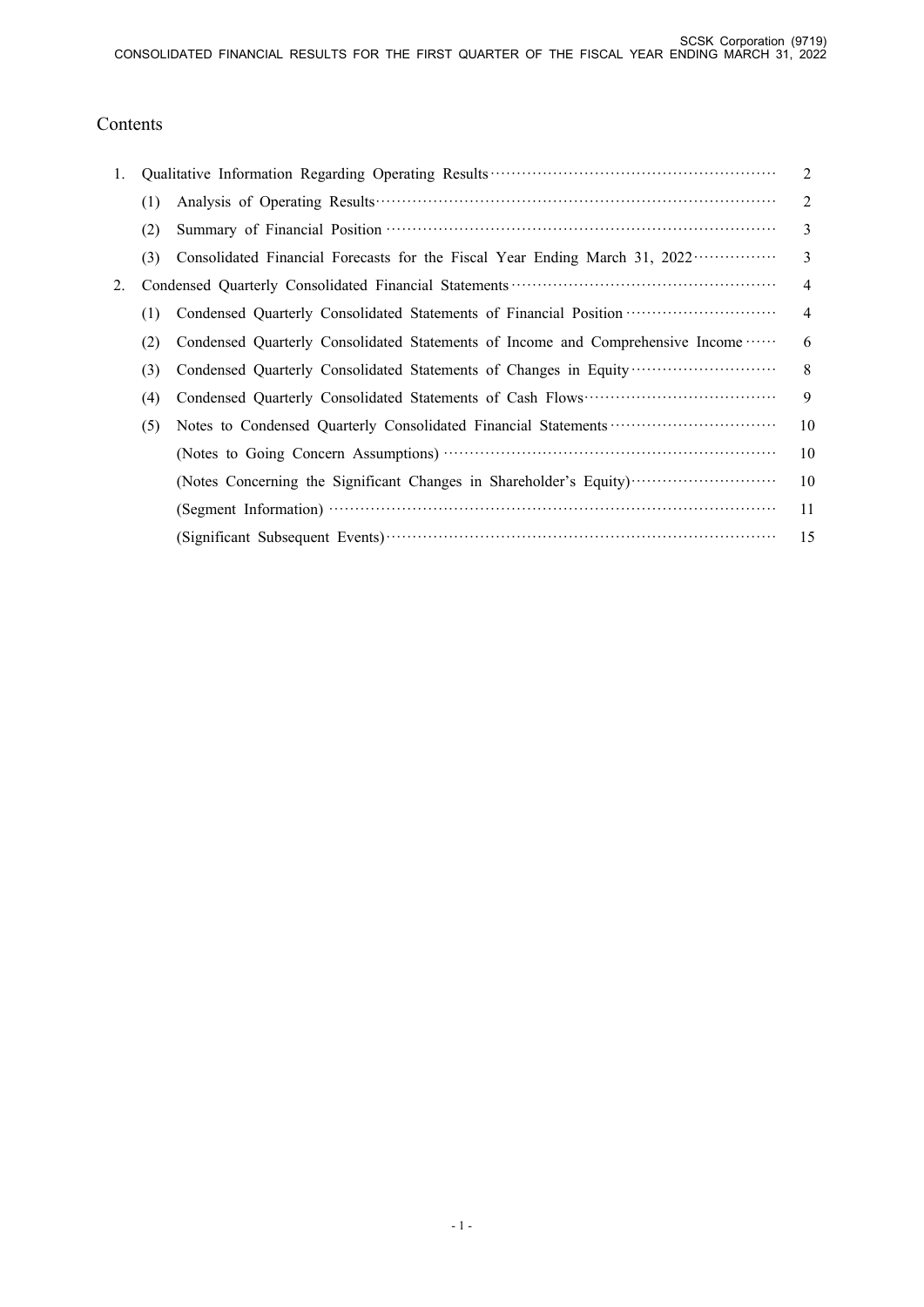# Contents

| 1. |     |                                                                                                     | 2              |
|----|-----|-----------------------------------------------------------------------------------------------------|----------------|
|    | (1) |                                                                                                     | 2              |
|    | (2) |                                                                                                     | 3              |
|    | (3) | Consolidated Financial Forecasts for the Fiscal Year Ending March 31, 2022                          | 3              |
| 2. |     |                                                                                                     | $\overline{4}$ |
|    | (1) | Condensed Quarterly Consolidated Statements of Financial Position ································· | $\overline{4}$ |
|    | (2) | Condensed Quarterly Consolidated Statements of Income and Comprehensive Income                      | 6              |
|    | (3) | Condensed Quarterly Consolidated Statements of Changes in Equity                                    | 8              |
|    | (4) |                                                                                                     | 9              |
|    | (5) |                                                                                                     | 10             |
|    |     |                                                                                                     | 10             |
|    |     | (Notes Concerning the Significant Changes in Shareholder's Equity)                                  | 10             |
|    |     |                                                                                                     | 11             |
|    |     |                                                                                                     | 15             |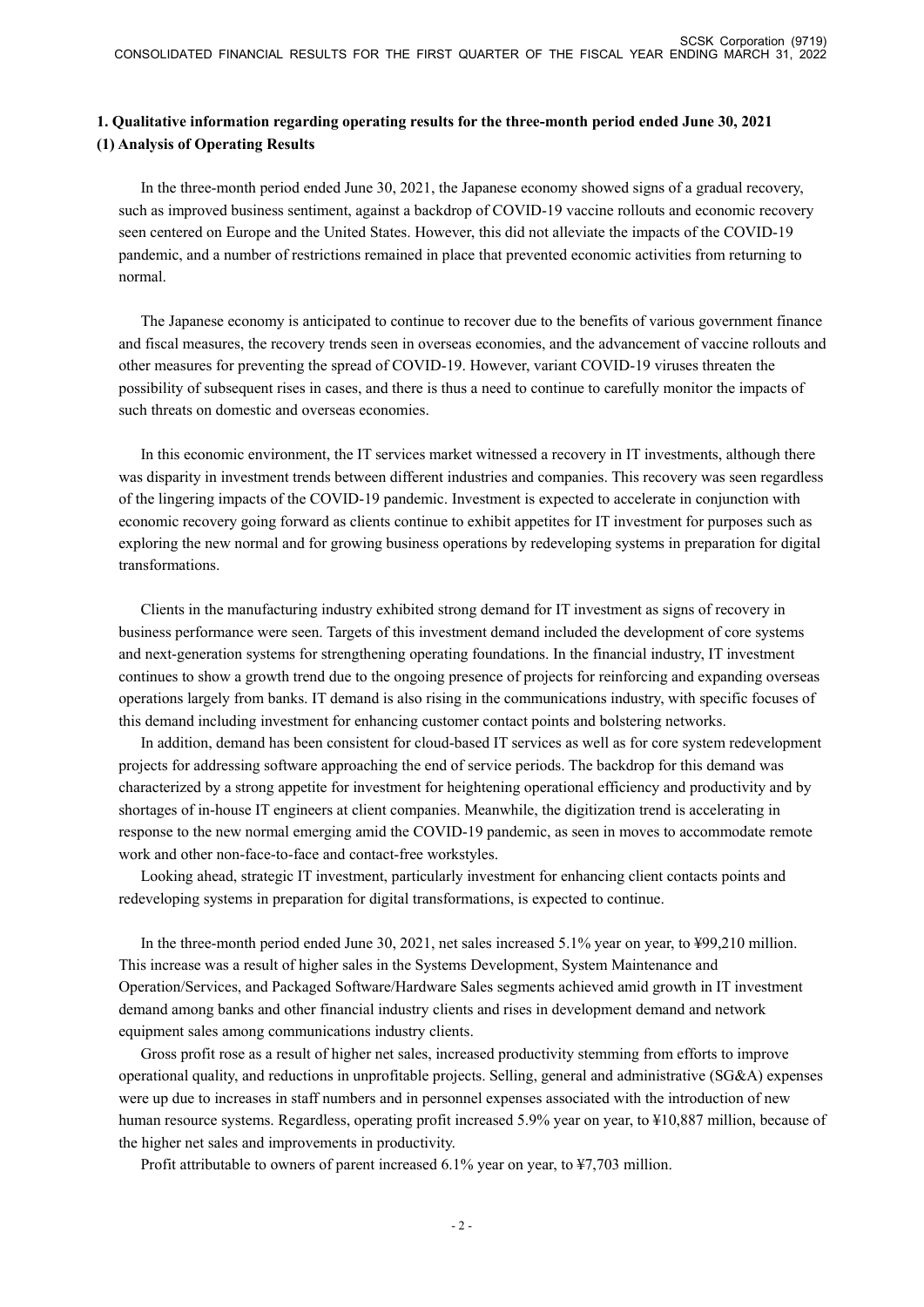# **1. Qualitative information regarding operating results for the three-month period ended June 30, 2021 (1) Analysis of Operating Results**

In the three-month period ended June 30, 2021, the Japanese economy showed signs of a gradual recovery, such as improved business sentiment, against a backdrop of COVID-19 vaccine rollouts and economic recovery seen centered on Europe and the United States. However, this did not alleviate the impacts of the COVID-19 pandemic, and a number of restrictions remained in place that prevented economic activities from returning to normal.

The Japanese economy is anticipated to continue to recover due to the benefits of various government finance and fiscal measures, the recovery trends seen in overseas economies, and the advancement of vaccine rollouts and other measures for preventing the spread of COVID-19. However, variant COVID-19 viruses threaten the possibility of subsequent rises in cases, and there is thus a need to continue to carefully monitor the impacts of such threats on domestic and overseas economies.

In this economic environment, the IT services market witnessed a recovery in IT investments, although there was disparity in investment trends between different industries and companies. This recovery was seen regardless of the lingering impacts of the COVID-19 pandemic. Investment is expected to accelerate in conjunction with economic recovery going forward as clients continue to exhibit appetites for IT investment for purposes such as exploring the new normal and for growing business operations by redeveloping systems in preparation for digital transformations.

Clients in the manufacturing industry exhibited strong demand for IT investment as signs of recovery in business performance were seen. Targets of this investment demand included the development of core systems and next-generation systems for strengthening operating foundations. In the financial industry, IT investment continues to show a growth trend due to the ongoing presence of projects for reinforcing and expanding overseas operations largely from banks. IT demand is also rising in the communications industry, with specific focuses of this demand including investment for enhancing customer contact points and bolstering networks.

In addition, demand has been consistent for cloud-based IT services as well as for core system redevelopment projects for addressing software approaching the end of service periods. The backdrop for this demand was characterized by a strong appetite for investment for heightening operational efficiency and productivity and by shortages of in-house IT engineers at client companies. Meanwhile, the digitization trend is accelerating in response to the new normal emerging amid the COVID-19 pandemic, as seen in moves to accommodate remote work and other non-face-to-face and contact-free workstyles.

Looking ahead, strategic IT investment, particularly investment for enhancing client contacts points and redeveloping systems in preparation for digital transformations, is expected to continue.

In the three-month period ended June 30, 2021, net sales increased 5.1% year on year, to ¥99,210 million. This increase was a result of higher sales in the Systems Development, System Maintenance and Operation/Services, and Packaged Software/Hardware Sales segments achieved amid growth in IT investment demand among banks and other financial industry clients and rises in development demand and network equipment sales among communications industry clients.

Gross profit rose as a result of higher net sales, increased productivity stemming from efforts to improve operational quality, and reductions in unprofitable projects. Selling, general and administrative (SG&A) expenses were up due to increases in staff numbers and in personnel expenses associated with the introduction of new human resource systems. Regardless, operating profit increased 5.9% year on year, to ¥10,887 million, because of the higher net sales and improvements in productivity.

Profit attributable to owners of parent increased 6.1% year on year, to ¥7,703 million.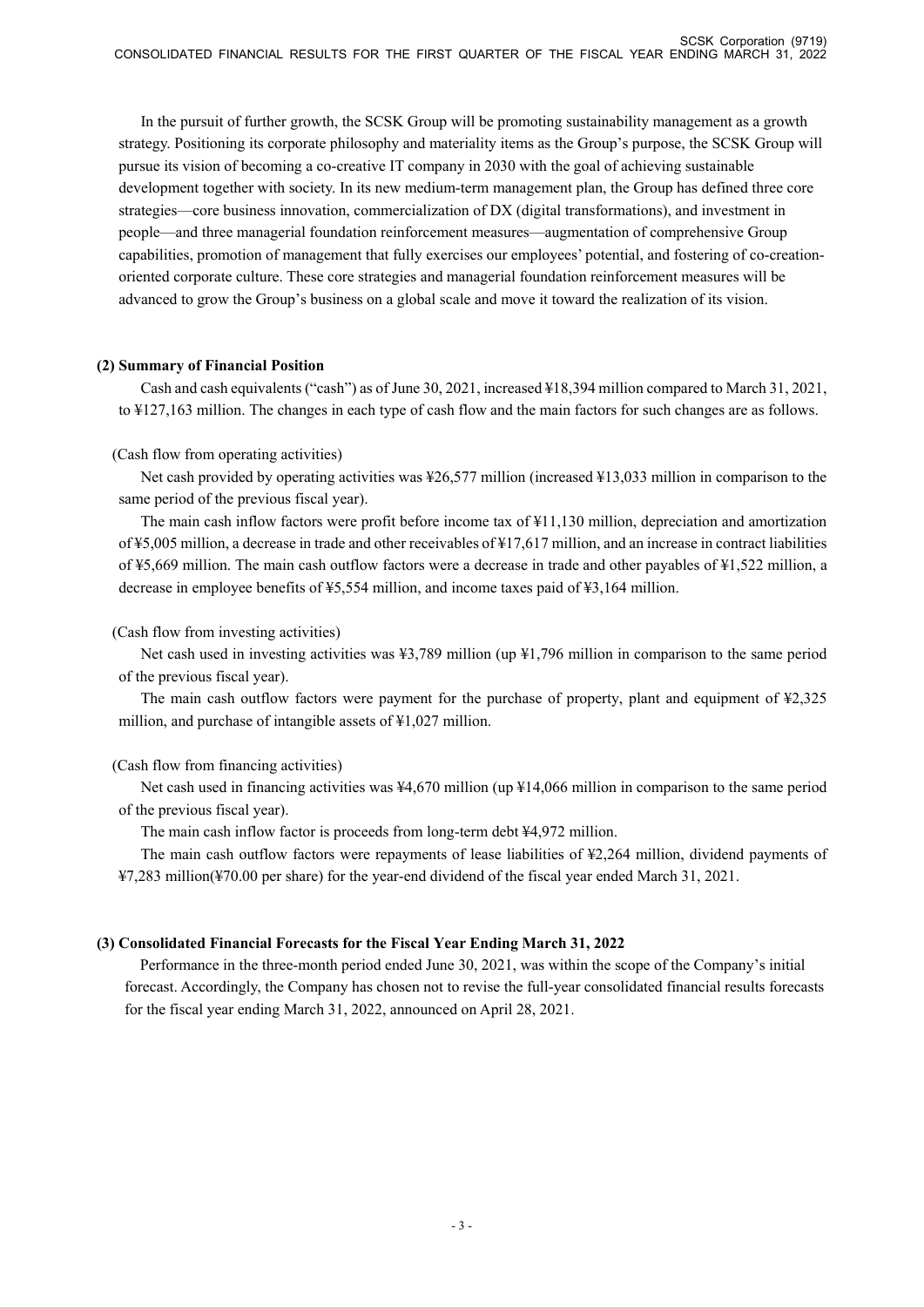In the pursuit of further growth, the SCSK Group will be promoting sustainability management as a growth strategy. Positioning its corporate philosophy and materiality items as the Group's purpose, the SCSK Group will pursue its vision of becoming a co-creative IT company in 2030 with the goal of achieving sustainable development together with society. In its new medium-term management plan, the Group has defined three core strategies—core business innovation, commercialization of DX (digital transformations), and investment in people—and three managerial foundation reinforcement measures—augmentation of comprehensive Group capabilities, promotion of management that fully exercises our employees' potential, and fostering of co-creationoriented corporate culture. These core strategies and managerial foundation reinforcement measures will be advanced to grow the Group's business on a global scale and move it toward the realization of its vision.

### **(2) Summary of Financial Position**

Cash and cash equivalents ("cash") as of June 30, 2021, increased ¥18,394 million compared to March 31, 2021, to ¥127,163 million. The changes in each type of cash flow and the main factors for such changes are as follows.

# (Cash flow from operating activities)

Net cash provided by operating activities was ¥26,577 million (increased ¥13,033 million in comparison to the same period of the previous fiscal year).

The main cash inflow factors were profit before income tax of ¥11,130 million, depreciation and amortization of ¥5,005 million, a decrease in trade and other receivables of ¥17,617 million, and an increase in contract liabilities of ¥5,669 million. The main cash outflow factors were a decrease in trade and other payables of ¥1,522 million, a decrease in employee benefits of ¥5,554 million, and income taxes paid of ¥3,164 million.

### (Cash flow from investing activities)

Net cash used in investing activities was ¥3,789 million (up ¥1,796 million in comparison to the same period of the previous fiscal year).

The main cash outflow factors were payment for the purchase of property, plant and equipment of ¥2,325 million, and purchase of intangible assets of ¥1,027 million.

# (Cash flow from financing activities)

Net cash used in financing activities was ¥4,670 million (up ¥14,066 million in comparison to the same period of the previous fiscal year).

The main cash inflow factor is proceeds from long-term debt ¥4,972 million.

The main cash outflow factors were repayments of lease liabilities of ¥2,264 million, dividend payments of ¥7,283 million(¥70.00 per share) for the year-end dividend of the fiscal year ended March 31, 2021.

# **(3) Consolidated Financial Forecasts for the Fiscal Year Ending March 31, 2022**

Performance in the three-month period ended June 30, 2021, was within the scope of the Company's initial forecast. Accordingly, the Company has chosen not to revise the full-year consolidated financial results forecasts for the fiscal year ending March 31, 2022, announced on April 28, 2021.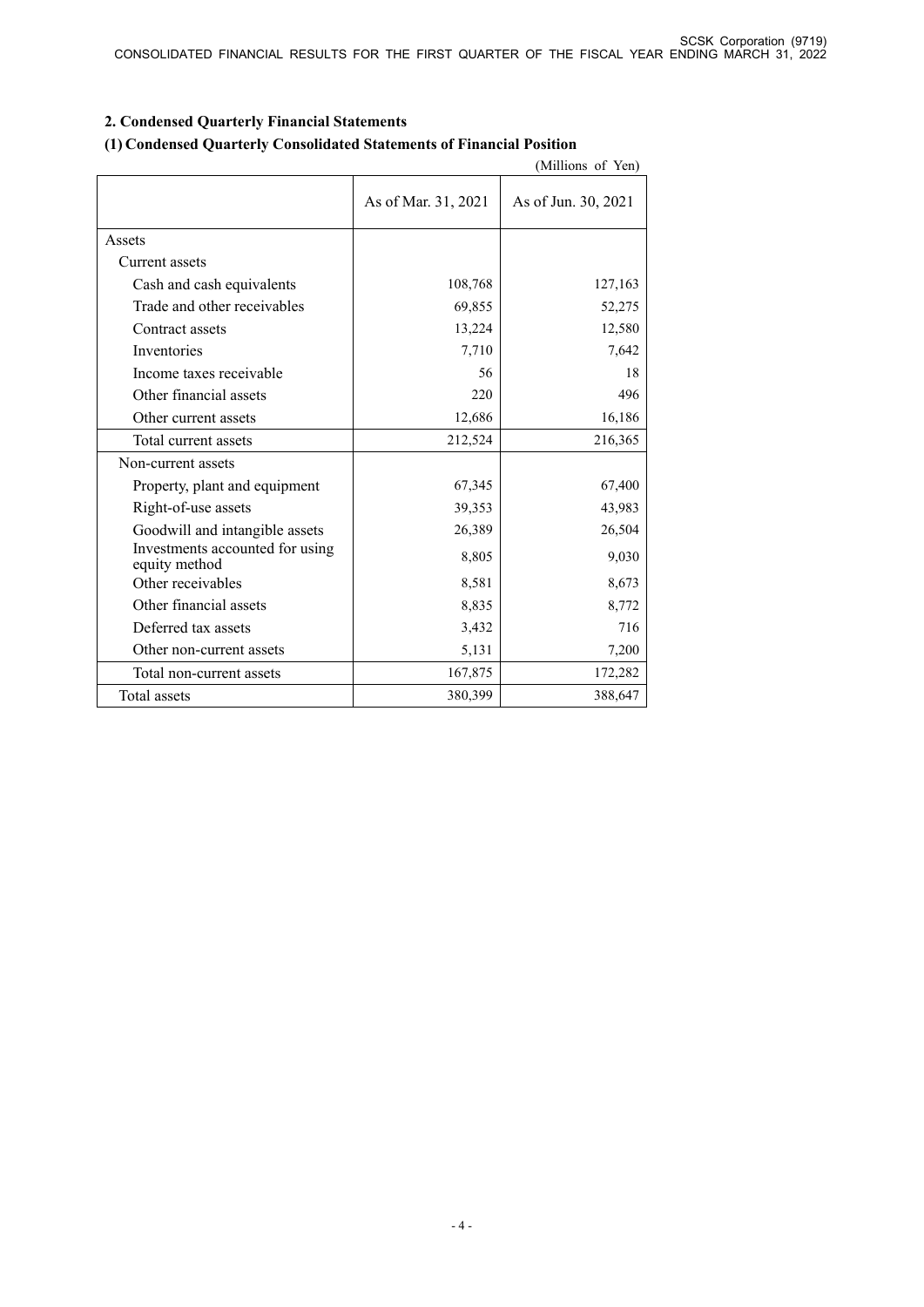# **2. Condensed Quarterly Financial Statements**

### **(1) Condensed Quarterly Consolidated Statements of Financial Position**

|                                                  |                     | (Millions of Yen)   |
|--------------------------------------------------|---------------------|---------------------|
|                                                  | As of Mar. 31, 2021 | As of Jun. 30, 2021 |
| Assets                                           |                     |                     |
| Current assets                                   |                     |                     |
| Cash and cash equivalents                        | 108,768             | 127,163             |
| Trade and other receivables                      | 69,855              | 52,275              |
| Contract assets                                  | 13,224              | 12,580              |
| Inventories                                      | 7,710               | 7,642               |
| Income taxes receivable                          | 56                  | 18                  |
| Other financial assets                           | 220                 | 496                 |
| Other current assets                             | 12,686              | 16,186              |
| Total current assets                             | 212,524             | 216,365             |
| Non-current assets                               |                     |                     |
| Property, plant and equipment                    | 67,345              | 67,400              |
| Right-of-use assets                              | 39,353              | 43,983              |
| Goodwill and intangible assets                   | 26,389              | 26,504              |
| Investments accounted for using<br>equity method | 8,805               | 9,030               |
| Other receivables                                | 8,581               | 8,673               |
| Other financial assets                           | 8,835               | 8,772               |
| Deferred tax assets                              | 3,432               | 716                 |
| Other non-current assets                         | 5,131               | 7,200               |
| Total non-current assets                         | 167,875             | 172,282             |
| Total assets                                     | 380,399             | 388,647             |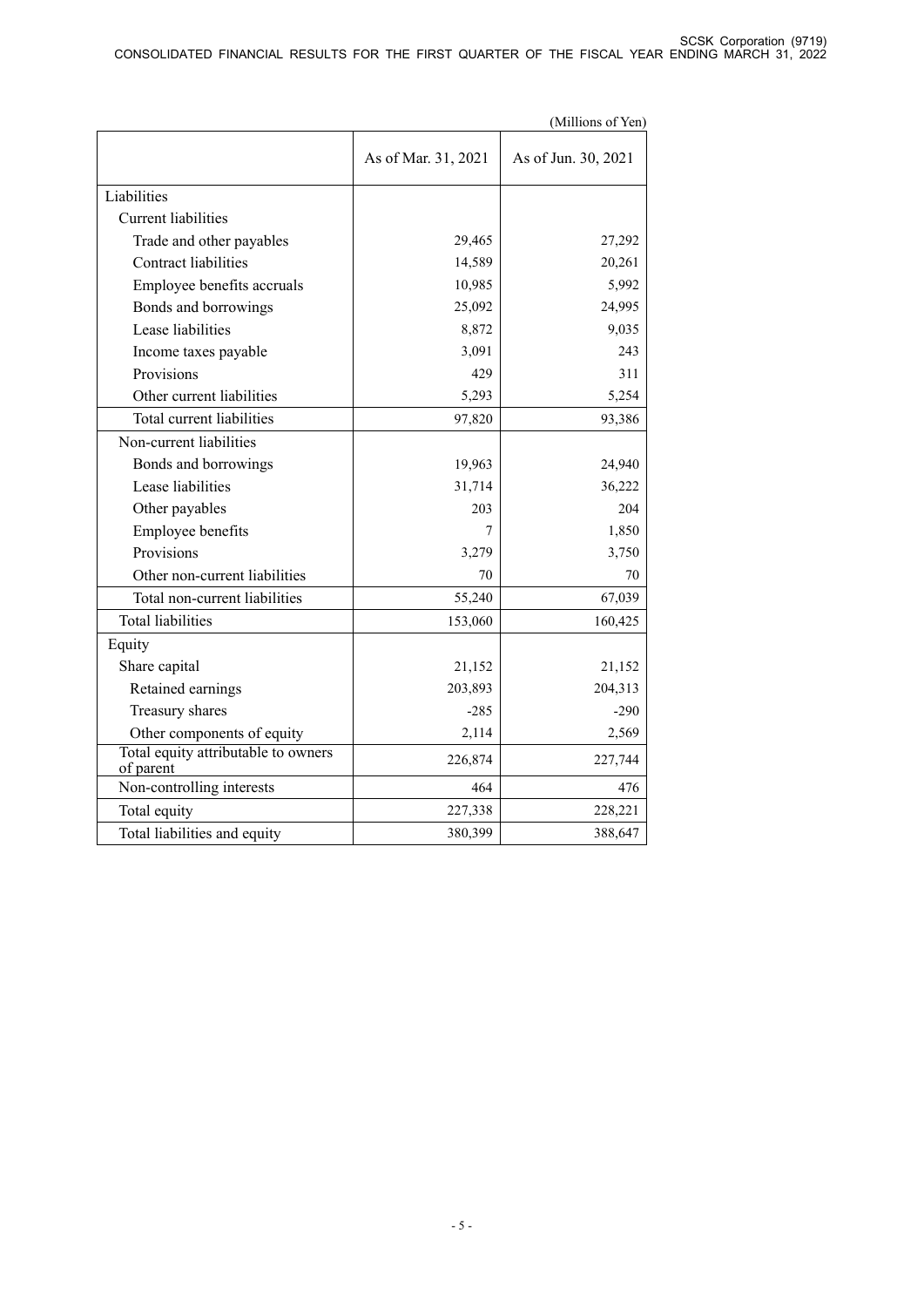|                                                  |                     | (Millions of Yen)   |
|--------------------------------------------------|---------------------|---------------------|
|                                                  | As of Mar. 31, 2021 | As of Jun. 30, 2021 |
| Liabilities                                      |                     |                     |
| <b>Current</b> liabilities                       |                     |                     |
| Trade and other payables                         | 29,465              | 27,292              |
| <b>Contract liabilities</b>                      | 14,589              | 20,261              |
| Employee benefits accruals                       | 10,985              | 5,992               |
| Bonds and borrowings                             | 25,092              | 24,995              |
| Lease liabilities                                | 8,872               | 9,035               |
| Income taxes payable                             | 3,091               | 243                 |
| Provisions                                       | 429                 | 311                 |
| Other current liabilities                        | 5,293               | 5,254               |
| Total current liabilities                        | 97,820              | 93,386              |
| Non-current liabilities                          |                     |                     |
| Bonds and borrowings                             | 19,963              | 24,940              |
| Lease liabilities                                | 31,714              | 36,222              |
| Other payables                                   | 203                 | 204                 |
| Employee benefits                                | 7                   | 1,850               |
| Provisions                                       | 3,279               | 3,750               |
| Other non-current liabilities                    | 70                  | 70                  |
| Total non-current liabilities                    | 55,240              | 67,039              |
| <b>Total liabilities</b>                         | 153,060             | 160,425             |
| Equity                                           |                     |                     |
| Share capital                                    | 21,152              | 21,152              |
| Retained earnings                                | 203,893             | 204,313             |
| Treasury shares                                  | $-285$              | $-290$              |
| Other components of equity                       | 2,114               | 2,569               |
| Total equity attributable to owners<br>of parent | 226,874             | 227,744             |
| Non-controlling interests                        | 464                 | 476                 |
| Total equity                                     | 227,338             | 228,221             |
| Total liabilities and equity                     | 380,399             | 388,647             |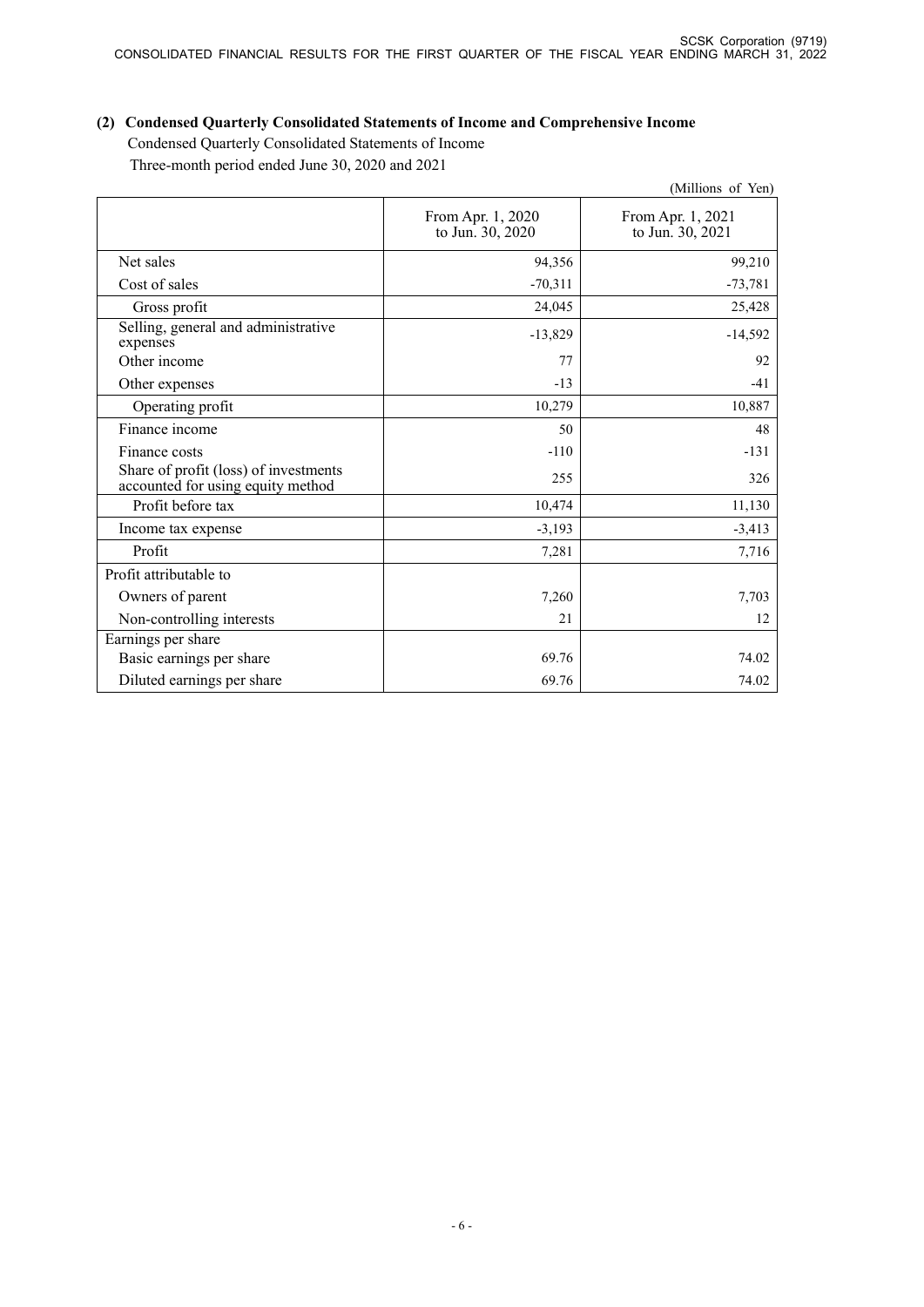# **(2) Condensed Quarterly Consolidated Statements of Income and Comprehensive Income**  Condensed Quarterly Consolidated Statements of Income

Three-month period ended June 30, 2020 and 2021

|                                                                            |                                       | (Millions of Yen)                     |
|----------------------------------------------------------------------------|---------------------------------------|---------------------------------------|
|                                                                            | From Apr. 1, 2020<br>to Jun. 30, 2020 | From Apr. 1, 2021<br>to Jun. 30, 2021 |
| Net sales                                                                  | 94,356                                | 99,210                                |
| Cost of sales                                                              | $-70,311$                             | $-73,781$                             |
| Gross profit                                                               | 24,045                                | 25,428                                |
| Selling, general and administrative<br>expenses                            | $-13,829$                             | $-14,592$                             |
| Other income                                                               | 77                                    | 92                                    |
| Other expenses                                                             | $-13$                                 | $-41$                                 |
| Operating profit                                                           | 10,279                                | 10,887                                |
| Finance income                                                             | 50                                    | 48                                    |
| Finance costs                                                              | $-110$                                | $-131$                                |
| Share of profit (loss) of investments<br>accounted for using equity method | 255                                   | 326                                   |
| Profit before tax                                                          | 10,474                                | 11,130                                |
| Income tax expense                                                         | $-3,193$                              | $-3,413$                              |
| Profit                                                                     | 7,281                                 | 7,716                                 |
| Profit attributable to                                                     |                                       |                                       |
| Owners of parent                                                           | 7,260                                 | 7,703                                 |
| Non-controlling interests                                                  | 21                                    | 12                                    |
| Earnings per share                                                         |                                       |                                       |
| Basic earnings per share                                                   | 69.76                                 | 74.02                                 |
| Diluted earnings per share                                                 | 69.76                                 | 74.02                                 |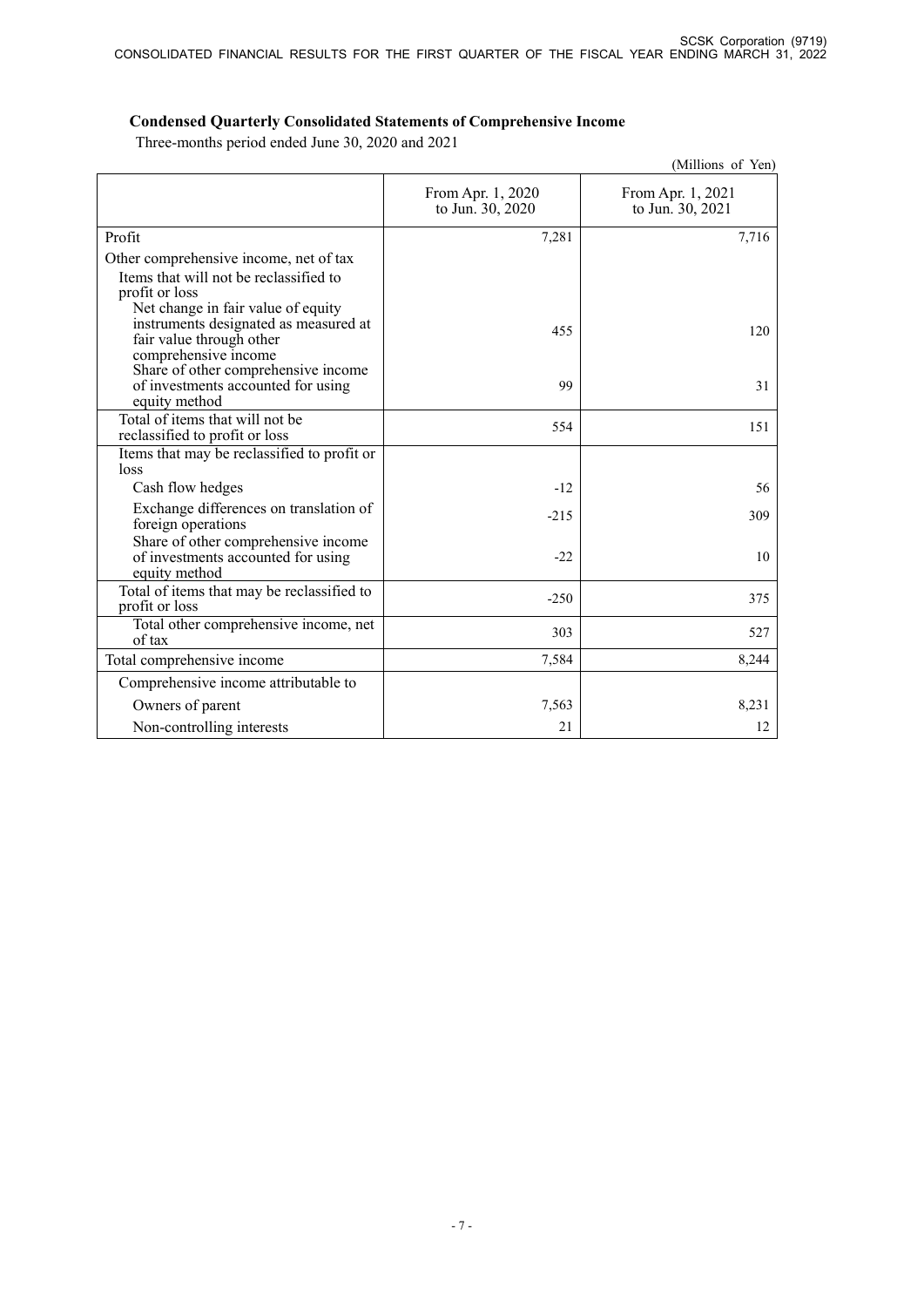# **Condensed Quarterly Consolidated Statements of Comprehensive Income**

Three-months period ended June 30, 2020 and 2021

|                                                                                                                                 |                                       | (Millions of Yen)                     |
|---------------------------------------------------------------------------------------------------------------------------------|---------------------------------------|---------------------------------------|
|                                                                                                                                 | From Apr. 1, 2020<br>to Jun. 30, 2020 | From Apr. 1, 2021<br>to Jun. 30, 2021 |
| Profit                                                                                                                          | 7,281                                 | 7,716                                 |
| Other comprehensive income, net of tax<br>Items that will not be reclassified to<br>profit or loss                              |                                       |                                       |
| Net change in fair value of equity<br>instruments designated as measured at<br>fair value through other<br>comprehensive income | 455                                   | 120                                   |
| Share of other comprehensive income<br>of investments accounted for using<br>equity method                                      | 99                                    | 31                                    |
| Total of items that will not be<br>reclassified to profit or loss                                                               | 554                                   | 151                                   |
| Items that may be reclassified to profit or<br>loss                                                                             |                                       |                                       |
| Cash flow hedges                                                                                                                | $-12$                                 | 56                                    |
| Exchange differences on translation of<br>foreign operations                                                                    | $-215$                                | 309                                   |
| Share of other comprehensive income<br>of investments accounted for using<br>equity method                                      | $-22$                                 | 10                                    |
| Total of items that may be reclassified to<br>profit or loss                                                                    | $-250$                                | 375                                   |
| Total other comprehensive income, net<br>of tax                                                                                 | 303                                   | 527                                   |
| Total comprehensive income                                                                                                      | 7,584                                 | 8,244                                 |
| Comprehensive income attributable to                                                                                            |                                       |                                       |
| Owners of parent                                                                                                                | 7,563                                 | 8,231                                 |
| Non-controlling interests                                                                                                       | 21                                    | 12                                    |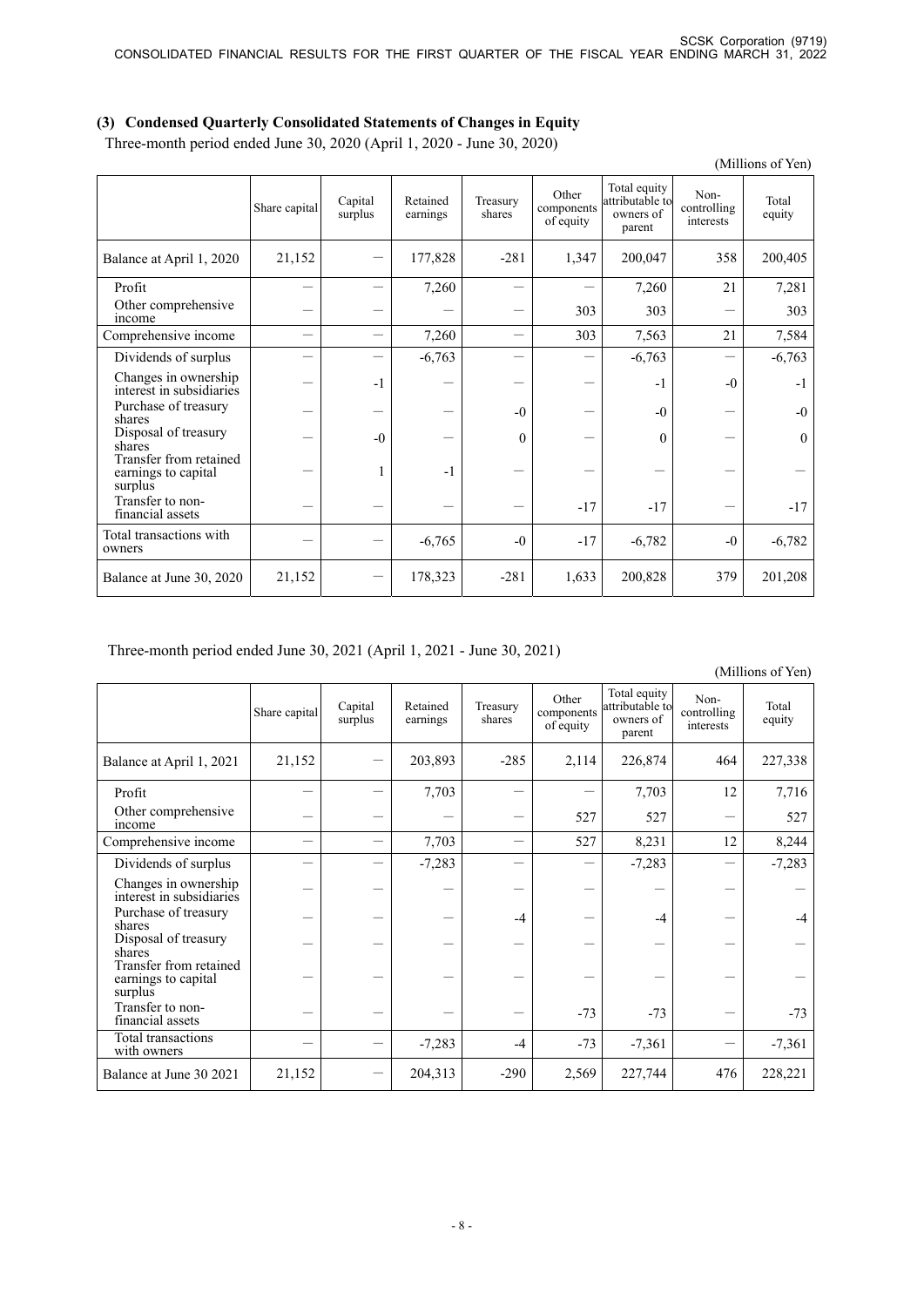# **(3) Condensed Quarterly Consolidated Statements of Changes in Equity**

Three-month period ended June 30, 2020 (April 1, 2020 - June 30, 2020)

|                                                          |               |                          |                      |                    |                                  |                                                        |                                  | (Millions of Yen) |
|----------------------------------------------------------|---------------|--------------------------|----------------------|--------------------|----------------------------------|--------------------------------------------------------|----------------------------------|-------------------|
|                                                          | Share capital | Capital<br>surplus       | Retained<br>earnings | Treasury<br>shares | Other<br>components<br>of equity | Total equity<br>attributable to<br>owners of<br>parent | Non-<br>controlling<br>interests | Total<br>equity   |
| Balance at April 1, 2020                                 | 21,152        |                          | 177,828              | $-281$             | 1,347                            | 200,047                                                | 358                              | 200,405           |
| Profit                                                   |               |                          | 7,260                |                    |                                  | 7,260                                                  | 21                               | 7,281             |
| Other comprehensive<br>income                            |               |                          |                      |                    | 303                              | 303                                                    |                                  | 303               |
| Comprehensive income                                     |               | $\overline{\phantom{0}}$ | 7,260                |                    | 303                              | 7,563                                                  | 21                               | 7,584             |
| Dividends of surplus                                     |               |                          | $-6,763$             |                    |                                  | $-6,763$                                               |                                  | $-6,763$          |
| Changes in ownership<br>interest in subsidiaries         |               | $-1$                     |                      |                    |                                  | $-1$                                                   | $-0$                             | $-1$              |
| Purchase of treasury<br>shares                           |               |                          |                      | $-0$               |                                  | $-0$                                                   |                                  | $-0$              |
| Disposal of treasury<br>shares                           |               | $-0$                     |                      | $\theta$           |                                  | $\Omega$                                               |                                  | $\theta$          |
| Transfer from retained<br>earnings to capital<br>surplus |               |                          | $-1$                 |                    |                                  |                                                        |                                  |                   |
| Transfer to non-<br>financial assets                     |               |                          |                      |                    | $-17$                            | $-17$                                                  |                                  | $-17$             |
| Total transactions with<br>owners                        |               |                          | $-6,765$             | $-0$               | $-17$                            | $-6,782$                                               | $-0$                             | $-6,782$          |
| Balance at June 30, 2020                                 | 21,152        |                          | 178,323              | $-281$             | 1,633                            | 200,828                                                | 379                              | 201,208           |

Three-month period ended June 30, 2021 (April 1, 2021 - June 30, 2021)

(Millions of Yen)

|                                                          | Share capital | Capital<br>surplus | Retained<br>earnings | Treasury<br>shares | Other<br>components<br>of equity | Total equity<br>attributable to<br>owners of<br>parent | Non-<br>controlling<br>interests | Total<br>equity |
|----------------------------------------------------------|---------------|--------------------|----------------------|--------------------|----------------------------------|--------------------------------------------------------|----------------------------------|-----------------|
| Balance at April 1, 2021                                 | 21,152        |                    | 203,893              | $-285$             | 2,114                            | 226,874                                                | 464                              | 227,338         |
| Profit                                                   |               |                    | 7,703                |                    |                                  | 7,703                                                  | 12                               | 7,716           |
| Other comprehensive<br>income                            |               |                    |                      |                    | 527                              | 527                                                    |                                  | 527             |
| Comprehensive income                                     |               |                    | 7,703                |                    | 527                              | 8,231                                                  | 12                               | 8,244           |
| Dividends of surplus                                     |               |                    | $-7,283$             |                    |                                  | $-7,283$                                               |                                  | $-7,283$        |
| Changes in ownership<br>interest in subsidiaries         |               |                    |                      |                    |                                  |                                                        |                                  |                 |
| Purchase of treasury<br>shares                           |               |                    |                      | $-4$               |                                  | $-4$                                                   |                                  | $-4$            |
| Disposal of treasury<br>shares                           |               |                    |                      |                    |                                  |                                                        |                                  |                 |
| Transfer from retained<br>earnings to capital<br>surplus |               |                    |                      |                    |                                  |                                                        |                                  |                 |
| Transfer to non-<br>financial assets                     |               |                    |                      |                    | $-73$                            | $-73$                                                  |                                  | $-73$           |
| Total transactions<br>with owners                        |               |                    | $-7,283$             | $-4$               | $-73$                            | $-7,361$                                               |                                  | $-7,361$        |
| Balance at June 30 2021                                  | 21,152        |                    | 204,313              | $-290$             | 2,569                            | 227,744                                                | 476                              | 228,221         |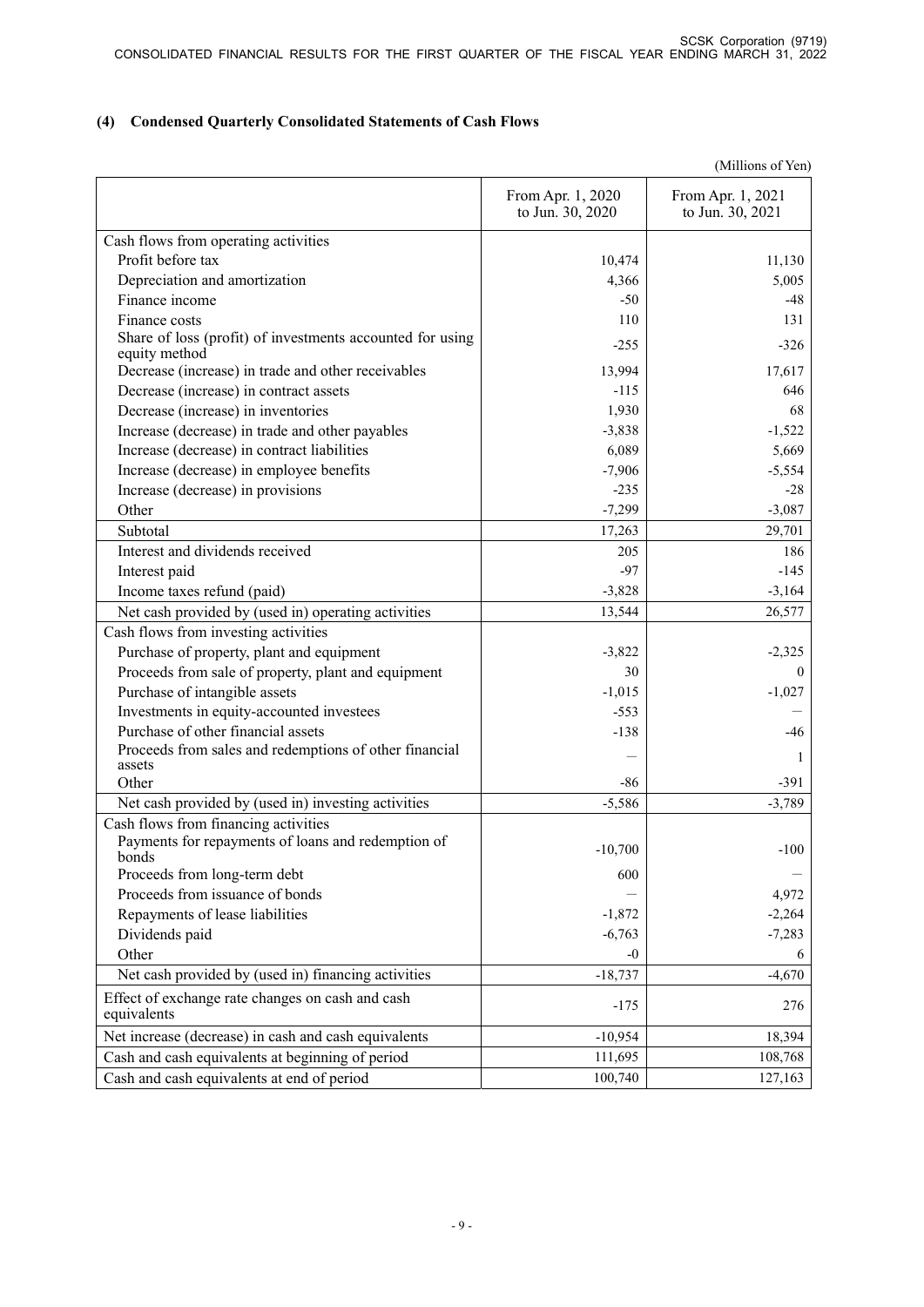# **(4) Condensed Quarterly Consolidated Statements of Cash Flows**

(Millions of Yen)

|                                                                            | From Apr. 1, 2020<br>to Jun. 30, 2020 | From Apr. 1, 2021<br>to Jun. 30, 2021 |
|----------------------------------------------------------------------------|---------------------------------------|---------------------------------------|
| Cash flows from operating activities                                       |                                       |                                       |
| Profit before tax                                                          | 10,474                                | 11,130                                |
| Depreciation and amortization                                              | 4,366                                 | 5,005                                 |
| Finance income                                                             | $-50$                                 | -48                                   |
| Finance costs                                                              | 110                                   | 131                                   |
| Share of loss (profit) of investments accounted for using<br>equity method | $-255$                                | $-326$                                |
| Decrease (increase) in trade and other receivables                         | 13,994                                | 17,617                                |
| Decrease (increase) in contract assets                                     | $-115$                                | 646                                   |
| Decrease (increase) in inventories                                         | 1,930                                 | 68                                    |
| Increase (decrease) in trade and other payables                            | $-3,838$                              | $-1,522$                              |
| Increase (decrease) in contract liabilities                                | 6,089                                 | 5,669                                 |
| Increase (decrease) in employee benefits                                   | $-7,906$                              | $-5,554$                              |
| Increase (decrease) in provisions                                          | $-235$                                | $-28$                                 |
| Other                                                                      | $-7,299$                              | $-3,087$                              |
| Subtotal                                                                   | 17,263                                | 29,701                                |
| Interest and dividends received                                            | 205                                   | 186                                   |
| Interest paid                                                              | $-97$                                 | $-145$                                |
| Income taxes refund (paid)                                                 | $-3,828$                              | $-3,164$                              |
| Net cash provided by (used in) operating activities                        | 13,544                                | 26,577                                |
| Cash flows from investing activities                                       |                                       |                                       |
| Purchase of property, plant and equipment                                  | $-3,822$                              | $-2,325$                              |
| Proceeds from sale of property, plant and equipment                        | 30                                    | $\theta$                              |
| Purchase of intangible assets                                              | $-1,015$                              | $-1,027$                              |
| Investments in equity-accounted investees                                  | $-553$                                |                                       |
| Purchase of other financial assets                                         | $-138$                                | $-46$                                 |
| Proceeds from sales and redemptions of other financial                     |                                       | 1                                     |
| assets                                                                     |                                       |                                       |
| Other                                                                      | -86                                   | $-391$                                |
| Net cash provided by (used in) investing activities                        | $-5,586$                              | $-3,789$                              |
| Cash flows from financing activities                                       |                                       |                                       |
| Payments for repayments of loans and redemption of<br>bonds                | $-10,700$                             | $-100$                                |
| Proceeds from long-term debt                                               | 600                                   |                                       |
| Proceeds from issuance of bonds                                            |                                       | 4,972                                 |
| Repayments of lease liabilities                                            | $-1,872$                              | $-2,264$                              |
| Dividends paid                                                             | $-6,763$                              | $-7,283$                              |
| Other                                                                      | -0                                    | 6                                     |
| Net cash provided by (used in) financing activities                        | $-18,737$                             | $-4,670$                              |
| Effect of exchange rate changes on cash and cash                           |                                       |                                       |
| equivalents                                                                | $-175$                                | 276                                   |
| Net increase (decrease) in cash and cash equivalents                       | $-10,954$                             | 18,394                                |
| Cash and cash equivalents at beginning of period                           | 111,695                               | 108,768                               |
| Cash and cash equivalents at end of period                                 | 100,740                               | 127,163                               |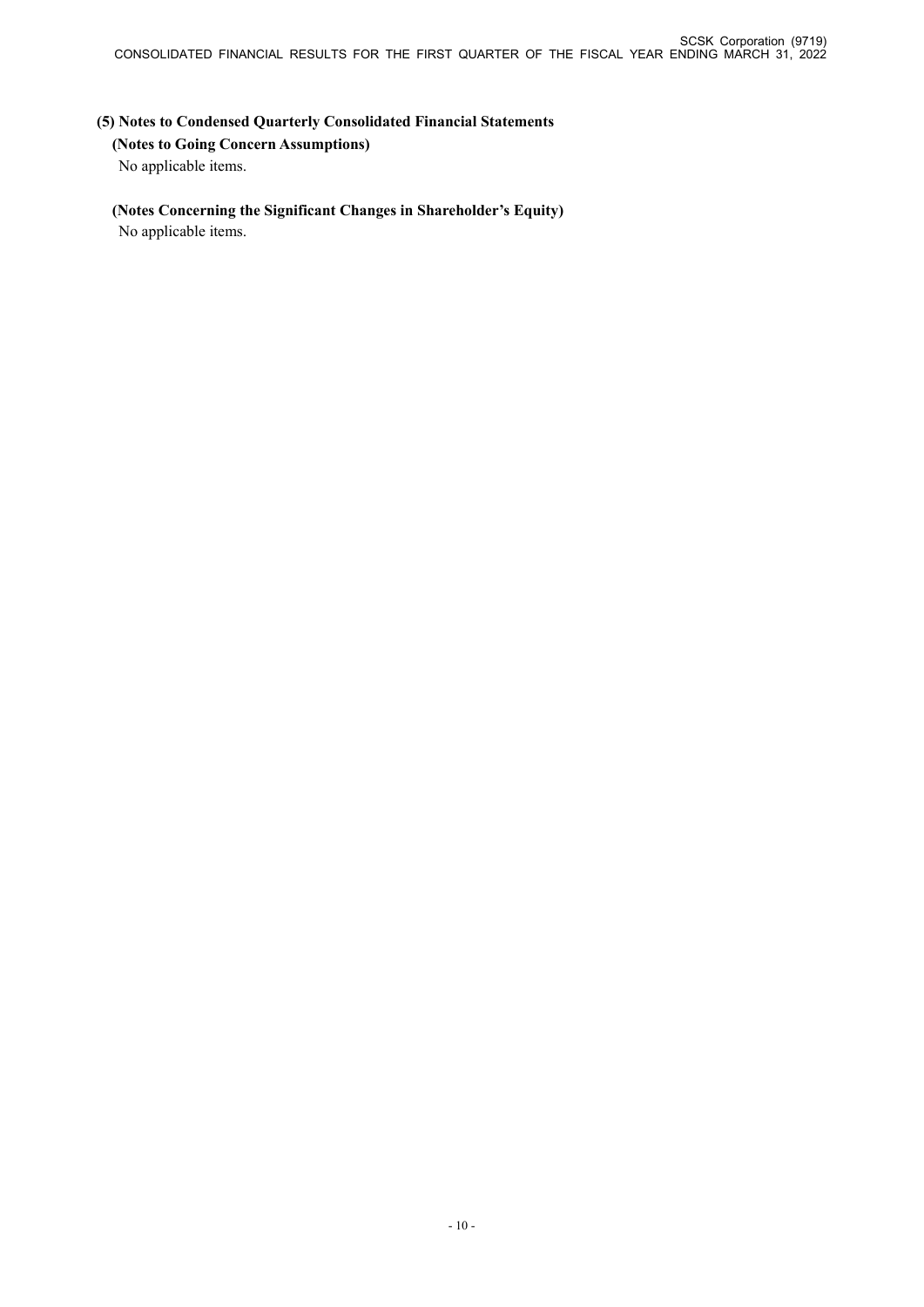**(5) Notes to Condensed Quarterly Consolidated Financial Statements (Notes to Going Concern Assumptions)** No applicable items.

# **(Notes Concerning the Significant Changes in Shareholder's Equity)**

No applicable items.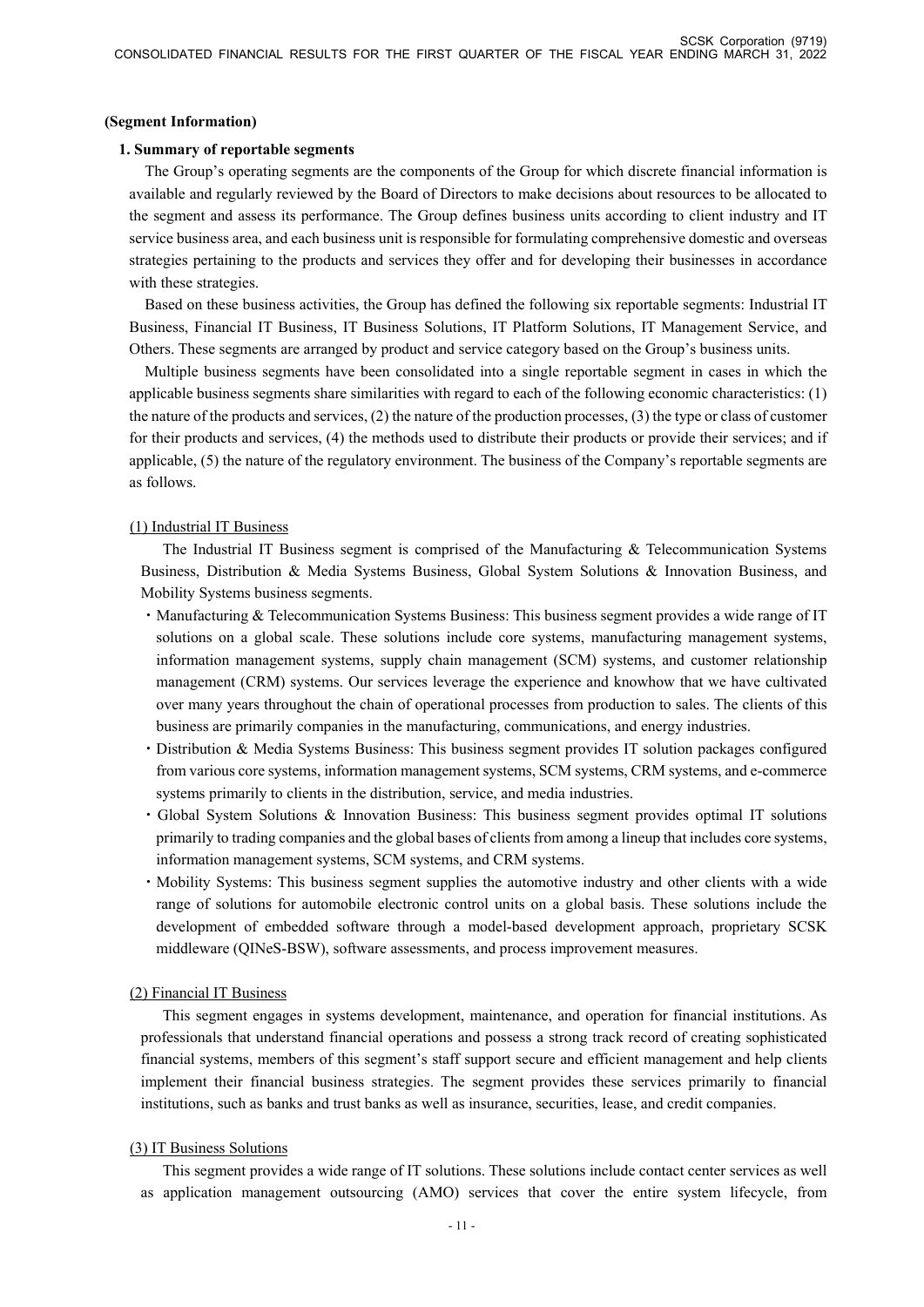#### **(Segment Information)**

#### **1. Summary of reportable segments**

The Group's operating segments are the components of the Group for which discrete financial information is available and regularly reviewed by the Board of Directors to make decisions about resources to be allocated to the segment and assess its performance. The Group defines business units according to client industry and IT service business area, and each business unit is responsible for formulating comprehensive domestic and overseas strategies pertaining to the products and services they offer and for developing their businesses in accordance with these strategies.

Based on these business activities, the Group has defined the following six reportable segments: Industrial IT Business, Financial IT Business, IT Business Solutions, IT Platform Solutions, IT Management Service, and Others. These segments are arranged by product and service category based on the Group's business units.

Multiple business segments have been consolidated into a single reportable segment in cases in which the applicable business segments share similarities with regard to each of the following economic characteristics: (1) the nature of the products and services, (2) the nature of the production processes, (3) the type or class of customer for their products and services, (4) the methods used to distribute their products or provide their services; and if applicable, (5) the nature of the regulatory environment. The business of the Company's reportable segments are as follows.

### (1) Industrial IT Business

The Industrial IT Business segment is comprised of the Manufacturing & Telecommunication Systems Business, Distribution & Media Systems Business, Global System Solutions & Innovation Business, and Mobility Systems business segments.

- ・Manufacturing & Telecommunication Systems Business: This business segment provides a wide range of IT solutions on a global scale. These solutions include core systems, manufacturing management systems, information management systems, supply chain management (SCM) systems, and customer relationship management (CRM) systems. Our services leverage the experience and knowhow that we have cultivated over many years throughout the chain of operational processes from production to sales. The clients of this business are primarily companies in the manufacturing, communications, and energy industries.
- ・Distribution & Media Systems Business: This business segment provides IT solution packages configured from various core systems, information management systems, SCM systems, CRM systems, and e-commerce systems primarily to clients in the distribution, service, and media industries.
- ・Global System Solutions & Innovation Business: This business segment provides optimal IT solutions primarily to trading companies and the global bases of clients from among a lineup that includes core systems, information management systems, SCM systems, and CRM systems.
- ・Mobility Systems: This business segment supplies the automotive industry and other clients with a wide range of solutions for automobile electronic control units on a global basis. These solutions include the development of embedded software through a model-based development approach, proprietary SCSK middleware (QINeS-BSW), software assessments, and process improvement measures.

### (2) Financial IT Business

This segment engages in systems development, maintenance, and operation for financial institutions. As professionals that understand financial operations and possess a strong track record of creating sophisticated financial systems, members of this segment's staff support secure and efficient management and help clients implement their financial business strategies. The segment provides these services primarily to financial institutions, such as banks and trust banks as well as insurance, securities, lease, and credit companies.

### (3) IT Business Solutions

This segment provides a wide range of IT solutions. These solutions include contact center services as well as application management outsourcing (AMO) services that cover the entire system lifecycle, from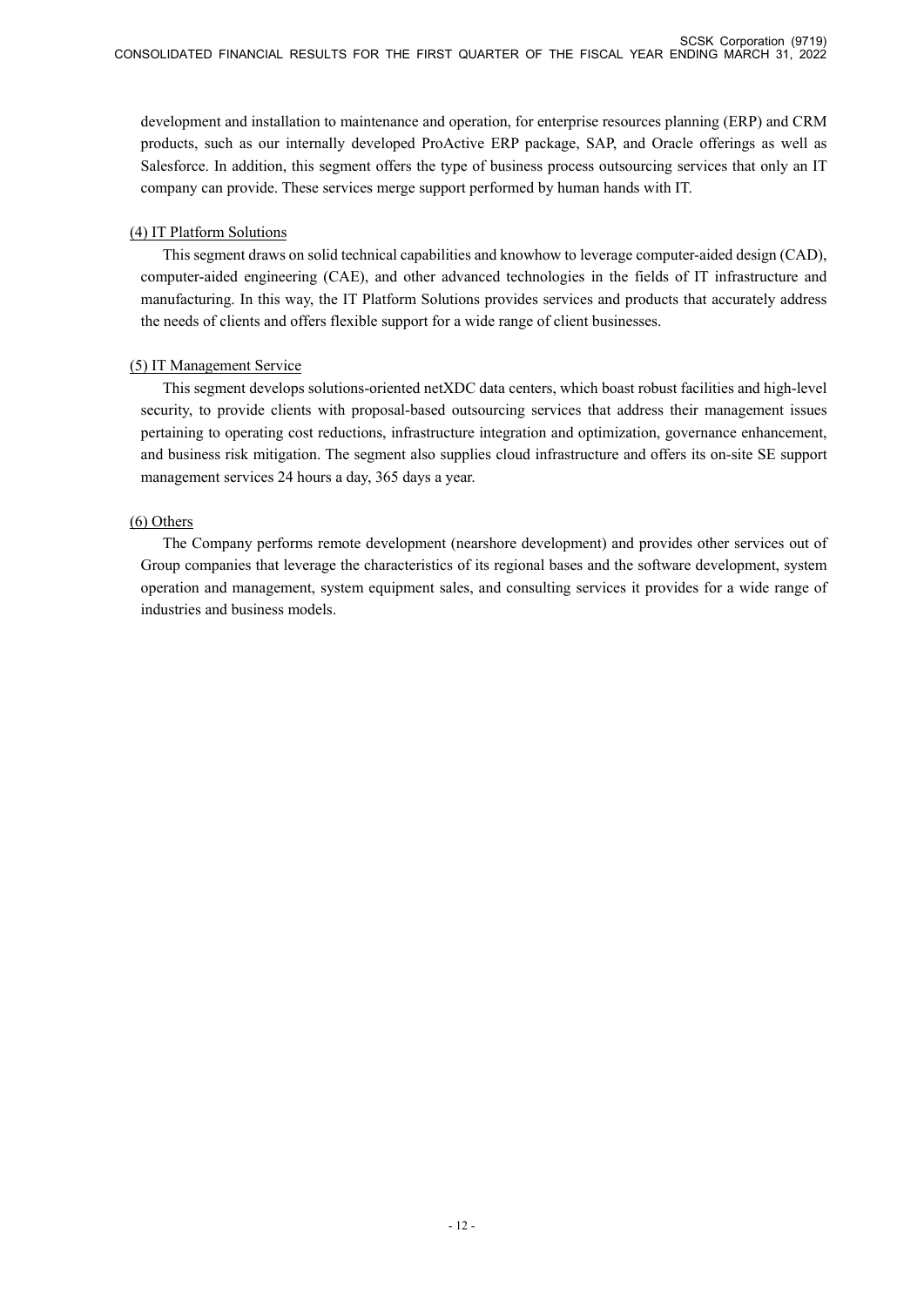development and installation to maintenance and operation, for enterprise resources planning (ERP) and CRM products, such as our internally developed ProActive ERP package, SAP, and Oracle offerings as well as Salesforce. In addition, this segment offers the type of business process outsourcing services that only an IT company can provide. These services merge support performed by human hands with IT.

# (4) IT Platform Solutions

This segment draws on solid technical capabilities and knowhow to leverage computer-aided design (CAD), computer-aided engineering (CAE), and other advanced technologies in the fields of IT infrastructure and manufacturing. In this way, the IT Platform Solutions provides services and products that accurately address the needs of clients and offers flexible support for a wide range of client businesses.

# (5) IT Management Service

This segment develops solutions-oriented netXDC data centers, which boast robust facilities and high-level security, to provide clients with proposal-based outsourcing services that address their management issues pertaining to operating cost reductions, infrastructure integration and optimization, governance enhancement, and business risk mitigation. The segment also supplies cloud infrastructure and offers its on-site SE support management services 24 hours a day, 365 days a year.

# (6) Others

The Company performs remote development (nearshore development) and provides other services out of Group companies that leverage the characteristics of its regional bases and the software development, system operation and management, system equipment sales, and consulting services it provides for a wide range of industries and business models.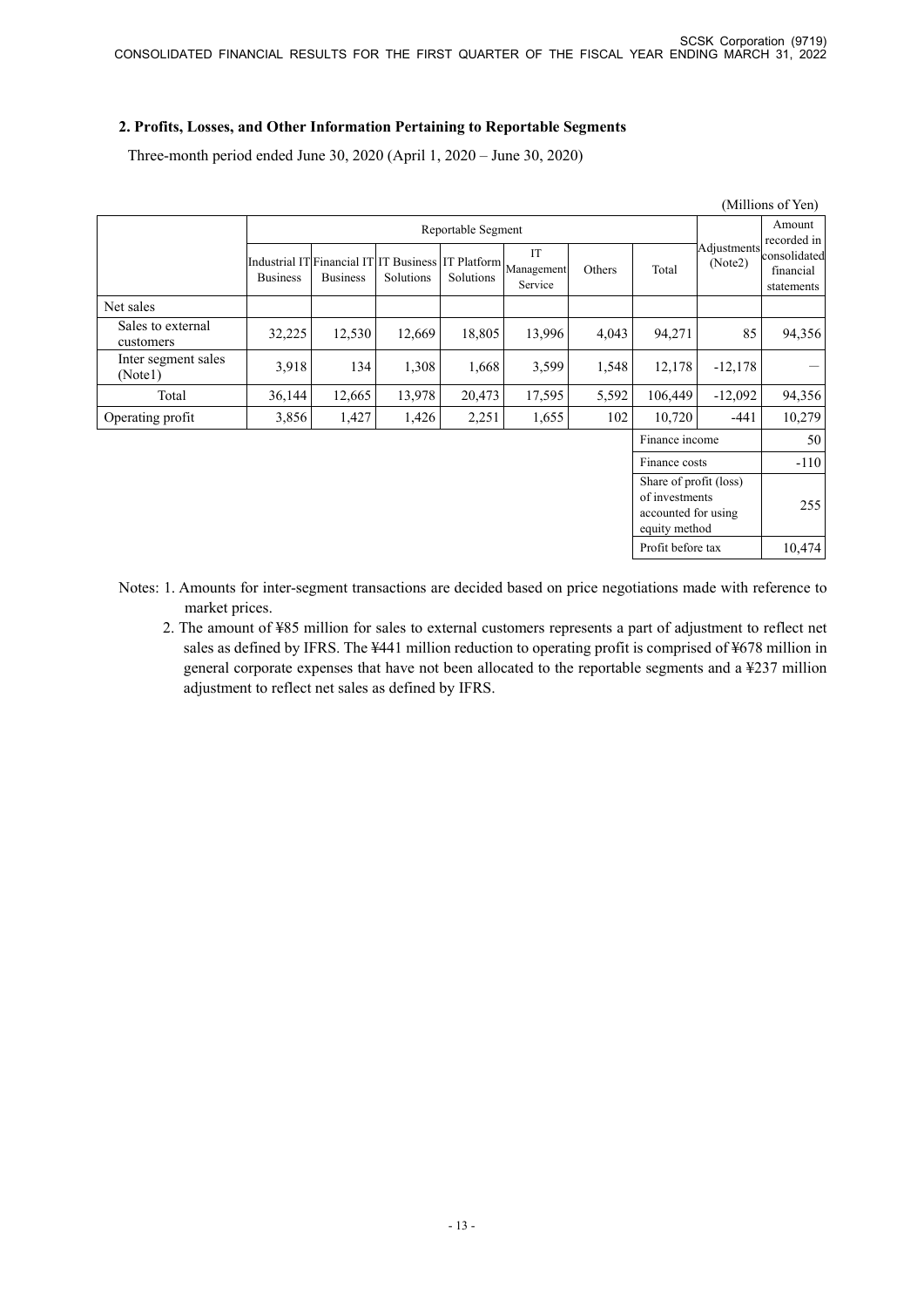# **2. Profits, Losses, and Other Information Pertaining to Reportable Segments**

Three-month period ended June 30, 2020 (April 1, 2020 – June 30, 2020)

|                                |                 |                                                           |           |                    |                                         |        |                                                                                  |                        | (Millions of Yen)                       |
|--------------------------------|-----------------|-----------------------------------------------------------|-----------|--------------------|-----------------------------------------|--------|----------------------------------------------------------------------------------|------------------------|-----------------------------------------|
|                                |                 |                                                           |           | Reportable Segment |                                         |        |                                                                                  | Amount<br>recorded in  |                                         |
|                                | <b>Business</b> | Industrial IT Financial IT IT Business<br><b>Business</b> | Solutions | Solutions          | IT<br>IT Platform Management<br>Service | Others | Total                                                                            | Adjustments<br>(Note2) | consolidated<br>financial<br>statements |
| Net sales                      |                 |                                                           |           |                    |                                         |        |                                                                                  |                        |                                         |
| Sales to external<br>customers | 32,225          | 12,530                                                    | 12,669    | 18,805             | 13,996                                  | 4,043  | 94,271                                                                           | 85                     | 94,356                                  |
| Inter segment sales<br>(Notel) | 3,918           | 134                                                       | 1,308     | 1,668              | 3,599                                   | 1,548  | 12,178                                                                           | $-12,178$              |                                         |
| Total                          | 36,144          | 12,665                                                    | 13,978    | 20,473             | 17,595                                  | 5,592  | 106,449                                                                          | $-12,092$              | 94,356                                  |
| Operating profit               | 3,856           | 1,427                                                     | 1,426     | 2,251              | 1,655                                   | 102    | 10,720                                                                           | $-441$                 | 10,279                                  |
|                                |                 |                                                           |           |                    |                                         |        | Finance income                                                                   |                        | 50                                      |
|                                |                 |                                                           |           |                    |                                         |        | Finance costs                                                                    |                        | $-110$                                  |
|                                |                 |                                                           |           |                    |                                         |        | Share of profit (loss)<br>of investments<br>accounted for using<br>equity method |                        | 255                                     |
|                                |                 |                                                           |           |                    |                                         |        | Profit before tax                                                                |                        | 10,474                                  |

Notes: 1. Amounts for inter-segment transactions are decided based on price negotiations made with reference to market prices.

2. The amount of ¥85 million for sales to external customers represents a part of adjustment to reflect net sales as defined by IFRS. The ¥441 million reduction to operating profit is comprised of ¥678 million in general corporate expenses that have not been allocated to the reportable segments and a ¥237 million adjustment to reflect net sales as defined by IFRS.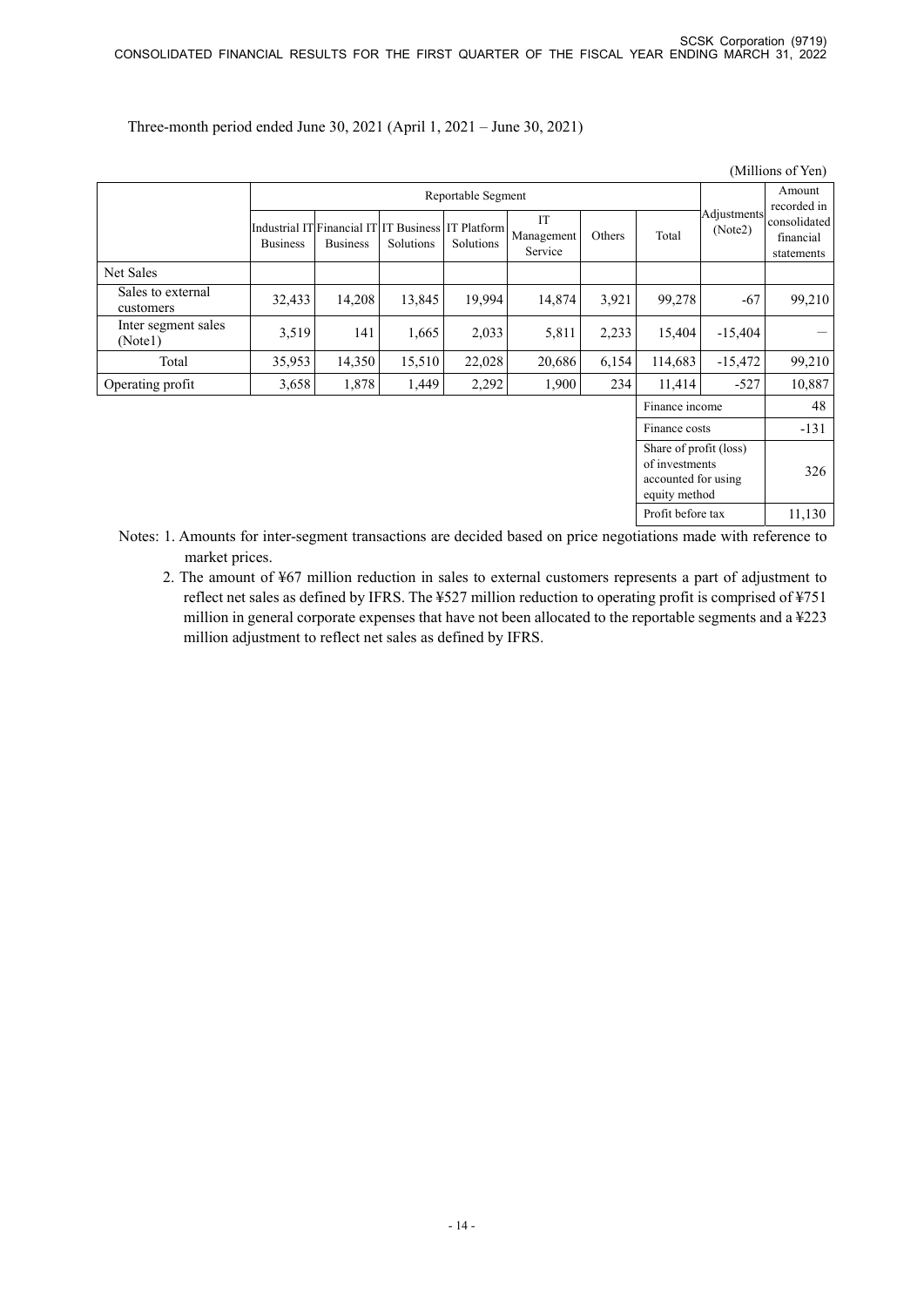|                                |                 |                                                                       |           |                    |                             |        |                                                                                  |                        | (Millions of Yen)                       |
|--------------------------------|-----------------|-----------------------------------------------------------------------|-----------|--------------------|-----------------------------|--------|----------------------------------------------------------------------------------|------------------------|-----------------------------------------|
|                                |                 |                                                                       |           | Reportable Segment |                             |        | Amount<br>recorded in                                                            |                        |                                         |
|                                | <b>Business</b> | Industrial IT Financial IT IT Business IT Platform<br><b>Business</b> | Solutions | Solutions          | IT<br>Management<br>Service | Others | Total                                                                            | Adjustments<br>(Note2) | consolidated<br>financial<br>statements |
| Net Sales                      |                 |                                                                       |           |                    |                             |        |                                                                                  |                        |                                         |
| Sales to external<br>customers | 32,433          | 14,208                                                                | 13,845    | 19,994             | 14,874                      | 3,921  | 99,278                                                                           | $-67$                  | 99,210                                  |
| Inter segment sales<br>(Notel) | 3,519           | 141                                                                   | 1,665     | 2,033              | 5,811                       | 2,233  | 15,404                                                                           | $-15,404$              | —                                       |
| Total                          | 35,953          | 14,350                                                                | 15,510    | 22,028             | 20,686                      | 6,154  | 114,683                                                                          | $-15,472$              | 99,210                                  |
| Operating profit               | 3,658           | 1,878                                                                 | 1,449     | 2,292              | 1,900                       | 234    | 11,414                                                                           | $-527$                 | 10,887                                  |
|                                |                 |                                                                       |           |                    |                             |        | Finance income                                                                   |                        | 48                                      |
|                                |                 |                                                                       |           |                    |                             |        | Finance costs                                                                    |                        | $-131$                                  |
|                                |                 |                                                                       |           |                    |                             |        | Share of profit (loss)<br>of investments<br>accounted for using<br>equity method |                        | 326                                     |
|                                |                 |                                                                       |           |                    |                             |        | Profit before tax                                                                |                        | 11,130                                  |

Three-month period ended June 30, 2021 (April 1, 2021 – June 30, 2021)

- Notes: 1. Amounts for inter-segment transactions are decided based on price negotiations made with reference to market prices.
	- 2. The amount of ¥67 million reduction in sales to external customers represents a part of adjustment to reflect net sales as defined by IFRS. The ¥527 million reduction to operating profit is comprised of ¥751 million in general corporate expenses that have not been allocated to the reportable segments and a ¥223 million adjustment to reflect net sales as defined by IFRS.